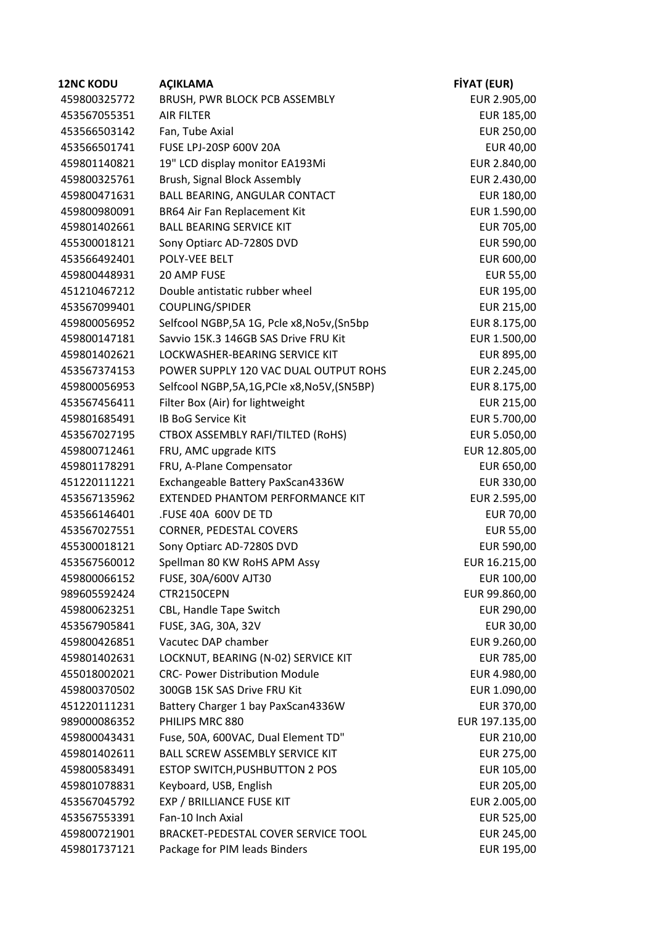| <b>12NC KODU</b> | <b>ACIKLAMA</b>                               | <b>FİYAT (EUR)</b> |
|------------------|-----------------------------------------------|--------------------|
| 459800325772     | BRUSH, PWR BLOCK PCB ASSEMBLY                 | EUR 2.905,00       |
| 453567055351     | <b>AIR FILTER</b>                             | EUR 185,00         |
| 453566503142     | Fan, Tube Axial                               | EUR 250,00         |
| 453566501741     | FUSE LPJ-20SP 600V 20A                        | EUR 40,00          |
| 459801140821     | 19" LCD display monitor EA193Mi               | EUR 2.840,00       |
| 459800325761     | Brush, Signal Block Assembly                  | EUR 2.430,00       |
| 459800471631     | <b>BALL BEARING, ANGULAR CONTACT</b>          | EUR 180,00         |
| 459800980091     | <b>BR64 Air Fan Replacement Kit</b>           | EUR 1.590,00       |
| 459801402661     | <b>BALL BEARING SERVICE KIT</b>               | EUR 705,00         |
| 455300018121     | Sony Optiarc AD-7280S DVD                     | EUR 590,00         |
| 453566492401     | POLY-VEE BELT                                 | EUR 600,00         |
| 459800448931     | 20 AMP FUSE                                   | <b>EUR 55,00</b>   |
| 451210467212     | Double antistatic rubber wheel                | EUR 195,00         |
| 453567099401     | COUPLING/SPIDER                               | EUR 215,00         |
| 459800056952     | Selfcool NGBP,5A 1G, Pcle x8,No5v,(Sn5bp      | EUR 8.175,00       |
| 459800147181     | Savvio 15K.3 146GB SAS Drive FRU Kit          | EUR 1.500,00       |
| 459801402621     | LOCKWASHER-BEARING SERVICE KIT                | EUR 895,00         |
| 453567374153     | POWER SUPPLY 120 VAC DUAL OUTPUT ROHS         | EUR 2.245,00       |
| 459800056953     | Selfcool NGBP, 5A, 1G, PCIe x8, No5V, (SN5BP) | EUR 8.175,00       |
| 453567456411     | Filter Box (Air) for lightweight              | EUR 215,00         |
| 459801685491     | <b>IB BoG Service Kit</b>                     | EUR 5.700,00       |
| 453567027195     | CTBOX ASSEMBLY RAFI/TILTED (RoHS)             | EUR 5.050,00       |
| 459800712461     | FRU, AMC upgrade KITS                         | EUR 12.805,00      |
| 459801178291     | FRU, A-Plane Compensator                      | EUR 650,00         |
| 451220111221     | Exchangeable Battery PaxScan4336W             | EUR 330,00         |
| 453567135962     | EXTENDED PHANTOM PERFORMANCE KIT              | EUR 2.595,00       |
| 453566146401     | .FUSE 40A 600V DE TD                          | <b>EUR 70,00</b>   |
| 453567027551     | CORNER, PEDESTAL COVERS                       | <b>EUR 55,00</b>   |
| 455300018121     | Sony Optiarc AD-7280S DVD                     | EUR 590,00         |
| 453567560012     | Spellman 80 KW RoHS APM Assy                  | EUR 16.215,00      |
| 459800066152     | FUSE, 30A/600V AJT30                          | EUR 100,00         |
| 989605592424     | CTR2150CEPN                                   | EUR 99.860,00      |
| 459800623251     | CBL, Handle Tape Switch                       | EUR 290,00         |
| 453567905841     | FUSE, 3AG, 30A, 32V                           | <b>EUR 30,00</b>   |
| 459800426851     | Vacutec DAP chamber                           | EUR 9.260,00       |
| 459801402631     | LOCKNUT, BEARING (N-02) SERVICE KIT           | EUR 785,00         |
| 455018002021     | <b>CRC- Power Distribution Module</b>         | EUR 4.980,00       |
| 459800370502     | 300GB 15K SAS Drive FRU Kit                   | EUR 1.090,00       |
| 451220111231     | Battery Charger 1 bay PaxScan4336W            | EUR 370,00         |
| 989000086352     | PHILIPS MRC 880                               | EUR 197.135,00     |
| 459800043431     | Fuse, 50A, 600VAC, Dual Element TD"           | EUR 210,00         |
| 459801402611     | <b>BALL SCREW ASSEMBLY SERVICE KIT</b>        | EUR 275,00         |
| 459800583491     | ESTOP SWITCH, PUSHBUTTON 2 POS                | EUR 105,00         |
| 459801078831     | Keyboard, USB, English                        | EUR 205,00         |
| 453567045792     | EXP / BRILLIANCE FUSE KIT                     | EUR 2.005,00       |
| 453567553391     | Fan-10 Inch Axial                             | EUR 525,00         |
| 459800721901     | BRACKET-PEDESTAL COVER SERVICE TOOL           | EUR 245,00         |
| 459801737121     | Package for PIM leads Binders                 | EUR 195,00         |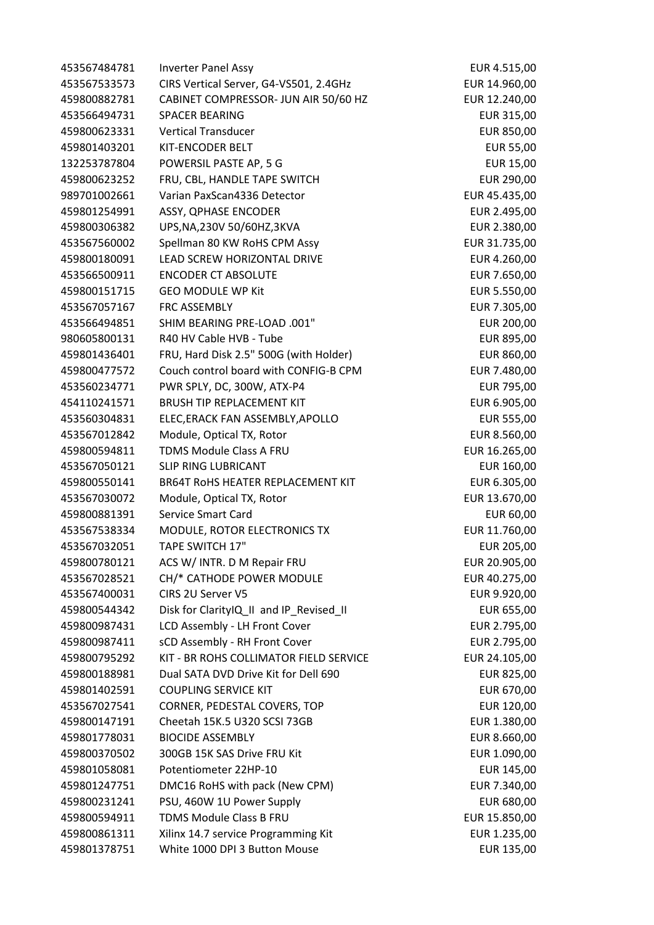Inverter Panel Assy EUR 4.515,00 CIRS Vertical Server, G4-VS501, 2.4GHz EUR 14.960,00 CABINET COMPRESSOR- JUN AIR 50/60 HZ EUR 12.240,00 SPACER BEARING EUR 315,00 Vertical Transducer EUR 850,00 KIT-ENCODER BELT EUR 55,00 132253787804 POWERSIL PASTE AP, 5 G EUR 15,00 FRU, CBL, HANDLE TAPE SWITCH EUR 290,00 Varian PaxScan4336 Detector EUR 45.435,00 ASSY, QPHASE ENCODER EUR 2.495,00 UPS,NA,230V 50/60HZ,3KVA EUR 2.380,00 Spellman 80 KW RoHS CPM Assy EUR 31.735,00 LEAD SCREW HORIZONTAL DRIVE EUR 4.260,00 ENCODER CT ABSOLUTE EUR 7.650,00 459800151715 GEO MODULE WP Kit **EUR 5.550,00**  FRC ASSEMBLY EUR 7.305,00 SHIM BEARING PRE-LOAD .001" EUR 200,00 980605800131 R40 HV Cable HVB - Tube **EUR 895,00** EUR 895,00 FRU, Hard Disk 2.5" 500G (with Holder) EUR 860,00 Couch control board with CONFIG-B CPM EUR 7.480,00 453560234771 PWR SPLY, DC, 300W, ATX-P4 **EUR 795,00**  BRUSH TIP REPLACEMENT KIT EUR 6.905,00 ELEC,ERACK FAN ASSEMBLY,APOLLO EUR 555,00 Module, Optical TX, Rotor EUR 8.560,00 TDMS Module Class A FRU EUR 16.265,00 SLIP RING LUBRICANT EUR 160,00 BR64T RoHS HEATER REPLACEMENT KIT EUR 6.305,00 Module, Optical TX, Rotor EUR 13.670,00 Service Smart Card EUR 60,00 MODULE, ROTOR ELECTRONICS TX EUR 11.760,00 TAPE SWITCH 17" EUR 205,00 ACS W/ INTR. D M Repair FRU EUR 20.905,00 CH/\* CATHODE POWER MODULE EUR 40.275,00 CIRS 2U Server V5 EUR 9.920,00 Disk for ClarityIQ\_II and IP\_Revised\_II EUR 655,00 LCD Assembly - LH Front Cover EUR 2.795,00 sCD Assembly - RH Front Cover EUR 2.795,00 KIT - BR ROHS COLLIMATOR FIELD SERVICE EUR 24.105,00 Dual SATA DVD Drive Kit for Dell 690 EUR 825,00 459801402591 COUPLING SERVICE KIT **EUR 670,00**  CORNER, PEDESTAL COVERS, TOP EUR 120,00 Cheetah 15K.5 U320 SCSI 73GB EUR 1.380,00 BIOCIDE ASSEMBLY EUR 8.660,00 459800370502 300GB 15K SAS Drive FRU Kit **EUR 1.090,00**  Potentiometer 22HP-10 EUR 145,00 DMC16 RoHS with pack (New CPM) EUR 7.340,00 PSU, 460W 1U Power Supply EUR 680,00 TDMS Module Class B FRU EUR 15.850,00 Xilinx 14.7 service Programming Kit EUR 1.235,00 White 1000 DPI 3 Button Mouse EUR 135,00